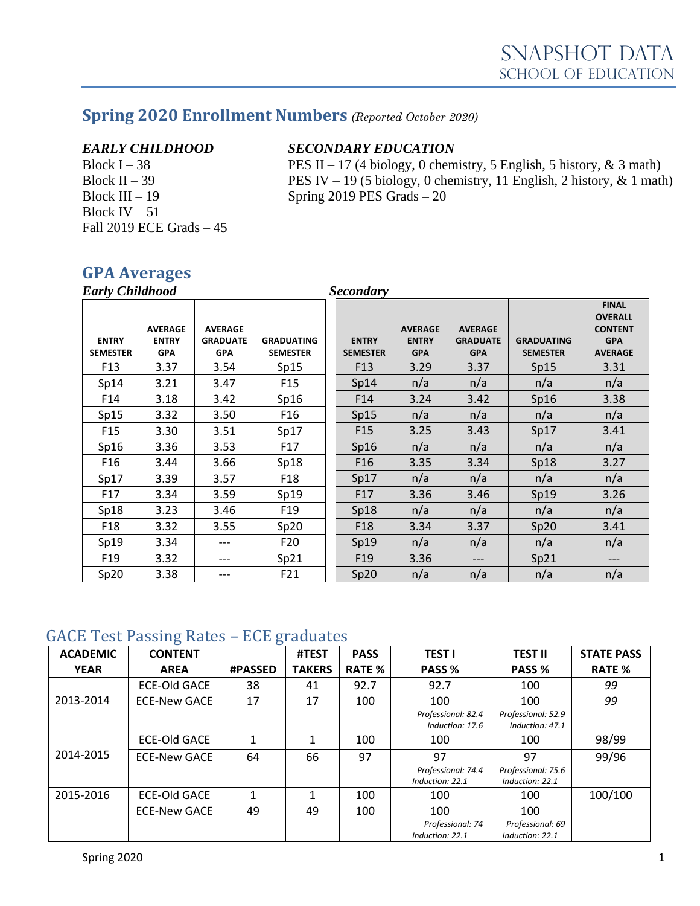## **Spring 2020 Enrollment Numbers** *(Reported October 2020)*

Block IV  $-51$ Fall 2019 ECE Grads – 45

#### *EARLY CHILDHOOD SECONDARY EDUCATION*

Block I – 38 **PES** II – 17 (4 biology, 0 chemistry, 5 English, 5 history, & 3 math) Block II – 39 PES IV – 19 (5 biology, 0 chemistry, 11 English, 2 history,  $\&$  1 math) Block III – 19 Spring 2019 PES Grads – 20

## **GPA Averages**

| <b>Early Childhood</b>          |                                              |                                                 |                                      | <b>Secondary</b>                |                                              |                                                 |                                      |                                                                                  |
|---------------------------------|----------------------------------------------|-------------------------------------------------|--------------------------------------|---------------------------------|----------------------------------------------|-------------------------------------------------|--------------------------------------|----------------------------------------------------------------------------------|
| <b>ENTRY</b><br><b>SEMESTER</b> | <b>AVERAGE</b><br><b>ENTRY</b><br><b>GPA</b> | <b>AVERAGE</b><br><b>GRADUATE</b><br><b>GPA</b> | <b>GRADUATING</b><br><b>SEMESTER</b> | <b>ENTRY</b><br><b>SEMESTER</b> | <b>AVERAGE</b><br><b>ENTRY</b><br><b>GPA</b> | <b>AVERAGE</b><br><b>GRADUATE</b><br><b>GPA</b> | <b>GRADUATING</b><br><b>SEMESTER</b> | <b>FINAL</b><br><b>OVERALL</b><br><b>CONTENT</b><br><b>GPA</b><br><b>AVERAGE</b> |
| F <sub>13</sub>                 | 3.37                                         | 3.54                                            | Sp15                                 | F <sub>13</sub>                 | 3.29                                         | 3.37                                            | Sp15                                 | 3.31                                                                             |
| Sp14                            | 3.21                                         | 3.47                                            | F <sub>15</sub>                      | Sp14                            | n/a                                          | n/a                                             | n/a                                  | n/a                                                                              |
| F14                             | 3.18                                         | 3.42                                            | Sp16                                 | F <sub>14</sub>                 | 3.24                                         | 3.42                                            | Sp16                                 | 3.38                                                                             |
| Sp15                            | 3.32                                         | 3.50                                            | F <sub>16</sub>                      | Sp15                            | n/a                                          | n/a                                             | n/a                                  | n/a                                                                              |
| F <sub>15</sub>                 | 3.30                                         | 3.51                                            | Sp17                                 | F <sub>15</sub>                 | 3.25                                         | 3.43                                            | Sp17                                 | 3.41                                                                             |
| Sp16                            | 3.36                                         | 3.53                                            | F <sub>17</sub>                      | Sp16                            | n/a                                          | n/a                                             | n/a                                  | n/a                                                                              |
| F <sub>16</sub>                 | 3.44                                         | 3.66                                            | Sp18                                 | F <sub>16</sub>                 | 3.35                                         | 3.34                                            | Sp18                                 | 3.27                                                                             |
| Sp17                            | 3.39                                         | 3.57                                            | F <sub>18</sub>                      | Sp17                            | n/a                                          | n/a                                             | n/a                                  | n/a                                                                              |
| F17                             | 3.34                                         | 3.59                                            | Sp19                                 | F17                             | 3.36                                         | 3.46                                            | Sp19                                 | 3.26                                                                             |
| Sp18                            | 3.23                                         | 3.46                                            | F <sub>19</sub>                      | Sp18                            | n/a                                          | n/a                                             | n/a                                  | n/a                                                                              |
| F <sub>18</sub>                 | 3.32                                         | 3.55                                            | Sp20                                 | F <sub>18</sub>                 | 3.34                                         | 3.37                                            | Sp20                                 | 3.41                                                                             |
| Sp19                            | 3.34                                         | ---                                             | F <sub>20</sub>                      | Sp19                            | n/a                                          | n/a                                             | n/a                                  | n/a                                                                              |
| F <sub>19</sub>                 | 3.32                                         | ---                                             | Sp21                                 | F <sub>19</sub>                 | 3.36                                         | ---                                             | Sp21                                 | ---                                                                              |
| Sp20                            | 3.38                                         | ---                                             | F21                                  | Sp20                            | n/a                                          | n/a                                             | n/a                                  | n/a                                                                              |

#### GACE Test Passing Rates – ECE graduates

| <b>ACADEMIC</b> | ပ<br><b>CONTENT</b> | ັ              | #TEST         | <b>PASS</b>   | <b>TEST I</b>                         | <b>TEST II</b>                        | <b>STATE PASS</b> |
|-----------------|---------------------|----------------|---------------|---------------|---------------------------------------|---------------------------------------|-------------------|
| <b>YEAR</b>     | <b>AREA</b>         | <b>#PASSED</b> | <b>TAKERS</b> | <b>RATE %</b> | PASS %                                | PASS %                                | <b>RATE %</b>     |
|                 | <b>ECE-Old GACE</b> | 38             | 41            | 92.7          | 92.7                                  | 100                                   | 99                |
| 2013-2014       | <b>ECE-New GACE</b> | 17             | 17            | 100           | 100                                   | 100                                   | 99                |
|                 |                     |                |               |               | Professional: 82.4<br>Induction: 17.6 | Professional: 52.9<br>Induction: 47.1 |                   |
|                 | <b>ECE-Old GACE</b> |                | 1             | 100           | 100                                   | 100                                   | 98/99             |
| 2014-2015       | <b>ECE-New GACE</b> | 64             | 66            | 97            | 97                                    | 97                                    | 99/96             |
|                 |                     |                |               |               | Professional: 74.4<br>Induction: 22.1 | Professional: 75.6<br>Induction: 22.1 |                   |
| 2015-2016       | <b>ECE-Old GACE</b> | 1              | 1             | 100           | 100                                   | 100                                   | 100/100           |
|                 | ECE-New GACE        | 49             | 49            | 100           | 100                                   | 100                                   |                   |
|                 |                     |                |               |               | Professional: 74<br>Induction: 22.1   | Professional: 69<br>Induction: 22.1   |                   |
|                 |                     |                |               |               |                                       |                                       |                   |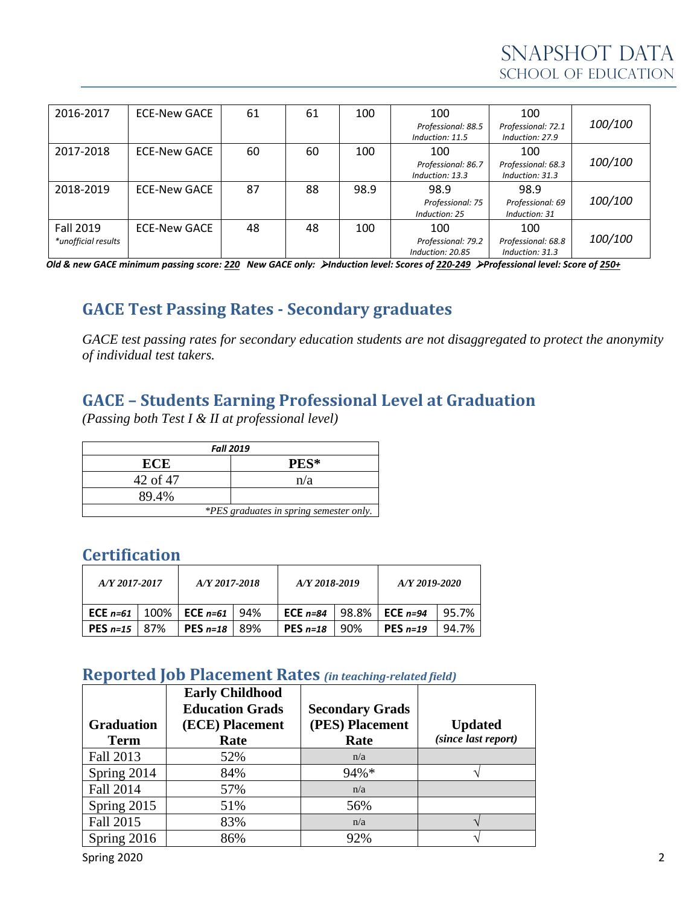| 2016-2017           | ECE-New GACE        | 61 | 61 | 100  | 100                                   | 100                                   |         |
|---------------------|---------------------|----|----|------|---------------------------------------|---------------------------------------|---------|
|                     |                     |    |    |      | Professional: 88.5<br>Induction: 11.5 | Professional: 72.1<br>Induction: 27.9 | 100/100 |
| 2017-2018           | ECE-New GACE        | 60 | 60 | 100  | 100                                   | 100                                   |         |
|                     |                     |    |    |      | Professional: 86.7                    | Professional: 68.3                    | 100/100 |
|                     |                     |    |    |      | Induction: 13.3                       | Induction: 31.3                       |         |
| 2018-2019           | ECE-New GACE        | 87 | 88 | 98.9 | 98.9                                  | 98.9                                  |         |
|                     |                     |    |    |      | Professional: 75                      | Professional: 69                      | 100/100 |
|                     |                     |    |    |      | Induction: 25                         | Induction: 31                         |         |
| Fall 2019           | <b>ECE-New GACE</b> | 48 | 48 | 100  | 100                                   | 100                                   |         |
| *unofficial results |                     |    |    |      | Professional: 79.2                    | Professional: 68.8                    | 100/100 |
|                     |                     |    |    |      | Induction: 20.85                      | Induction: 31.3                       |         |

*Old & new GACE minimum passing score: 220 New GACE only:* ➢*Induction level: Scores of 220-249* ➢*Professional level: Score of 250+*

## **GACE Test Passing Rates - Secondary graduates**

*GACE test passing rates for secondary education students are not disaggregated to protect the anonymity of individual test takers.*

## **GACE – Students Earning Professional Level at Graduation**

*(Passing both Test I & II at professional level)*

| <b>Fall 2019</b>                        |      |  |  |  |  |
|-----------------------------------------|------|--|--|--|--|
| ECE                                     | PES* |  |  |  |  |
| 42 of 47                                | n/a  |  |  |  |  |
| 89.4%                                   |      |  |  |  |  |
| *PES graduates in spring semester only. |      |  |  |  |  |

#### **Certification**

| A/Y 2017-2017            |  | $A/Y$ 2017-2018 |     | A/Y 2018-2019 |       | A/Y 2019-2020 |       |
|--------------------------|--|-----------------|-----|---------------|-------|---------------|-------|
| <b>ECE</b> $n=61$   100% |  | ECE $n=61$      | 94% | ECE $n=84$    | 98.8% | ECE $n=94$    | 95.7% |
| <b>PES</b> $n=15$   87%  |  | PES $n=18$      | 89% | PES $n=18$    | 90%   | PES $n=19$    | 94.7% |

#### **Reported Job Placement Rates** *(in teaching-related field)*

|                   | <b>Early Childhood</b> |                        |                     |
|-------------------|------------------------|------------------------|---------------------|
|                   | <b>Education Grads</b> | <b>Secondary Grads</b> |                     |
| <b>Graduation</b> | (ECE) Placement        | (PES) Placement        | <b>Updated</b>      |
| <b>Term</b>       | Rate                   | Rate                   | (since last report) |
| Fall 2013         | 52%                    | n/a                    |                     |
| Spring 2014       | 84%                    | 94%*                   |                     |
| Fall 2014         | 57%                    | n/a                    |                     |
| Spring 2015       | 51%                    | 56%                    |                     |
| Fall 2015         | 83%                    | n/a                    |                     |
| Spring 2016       | 86%                    | 92%                    |                     |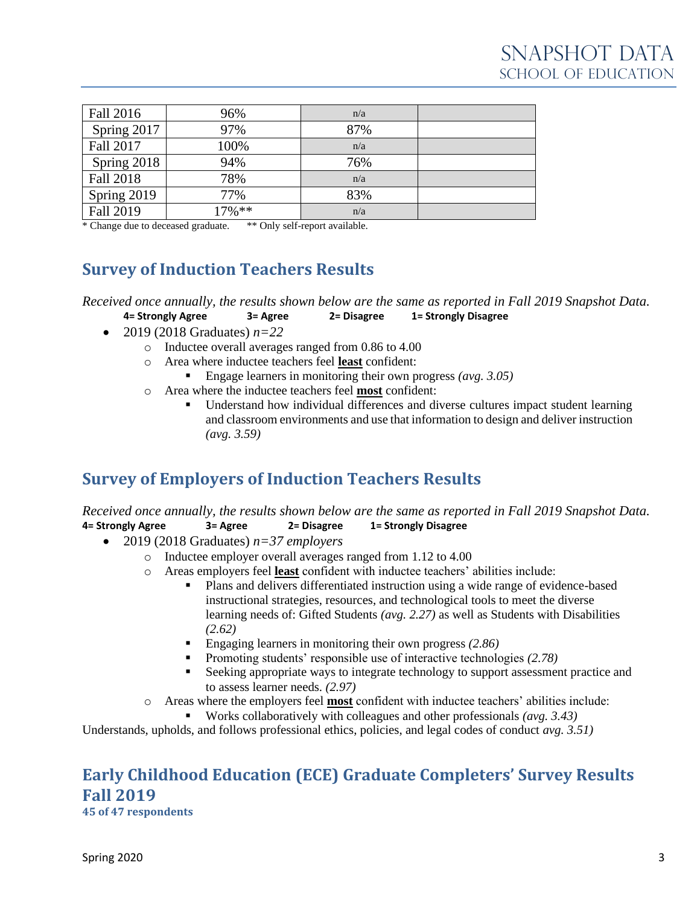| Fall 2016        | 96%       | n/a |  |
|------------------|-----------|-----|--|
| Spring 2017      | 97%       | 87% |  |
| Fall 2017        | 100%      | n/a |  |
| Spring 2018      | 94%       | 76% |  |
| <b>Fall 2018</b> | 78%       | n/a |  |
| Spring 2019      | 77%       | 83% |  |
| <b>Fall 2019</b> | $17\%$ ** | n/a |  |

\* Change due to deceased graduate. \*\* Only self-report available.

## **Survey of Induction Teachers Results**

*Received once annually, the results shown below are the same as reported in Fall 2019 Snapshot Data.* **4= Strongly Agree 3= Agree 2= Disagree 1= Strongly Disagree**

- 2019 (2018 Graduates) *n=22*
	- o Inductee overall averages ranged from 0.86 to 4.00
	- o Area where inductee teachers feel **least** confident:
		- Engage learners in monitoring their own progress *(avg. 3.05)*
	- o Area where the inductee teachers feel **most** confident:
		- Understand how individual differences and diverse cultures impact student learning and classroom environments and use that information to design and deliver instruction *(avg. 3.59)*

## **Survey of Employers of Induction Teachers Results**

*Received once annually, the results shown below are the same as reported in Fall 2019 Snapshot Data.* **4= Strongly Agree 3= Agree 2= Disagree 1= Strongly Disagree**

- 2019 (2018 Graduates) *n=37 employers*
	- o Inductee employer overall averages ranged from 1.12 to 4.00
	- o Areas employers feel **least** confident with inductee teachers' abilities include:
		- Plans and delivers differentiated instruction using a wide range of evidence-based instructional strategies, resources, and technological tools to meet the diverse learning needs of: Gifted Students *(avg. 2.27)* as well as Students with Disabilities *(2.62)*
		- Engaging learners in monitoring their own progress (2.86)
		- Promoting students' responsible use of interactive technologies *(2.78)*
		- Seeking appropriate ways to integrate technology to support assessment practice and to assess learner needs. *(2.97)*
	- o Areas where the employers feel **most** confident with inductee teachers' abilities include:
		- Works collaboratively with colleagues and other professionals *(avg. 3.43)*

Understands, upholds, and follows professional ethics, policies, and legal codes of conduct *avg. 3.51)*

# **Early Childhood Education (ECE) Graduate Completers' Survey Results Fall 2019**

**45 of 47 respondents**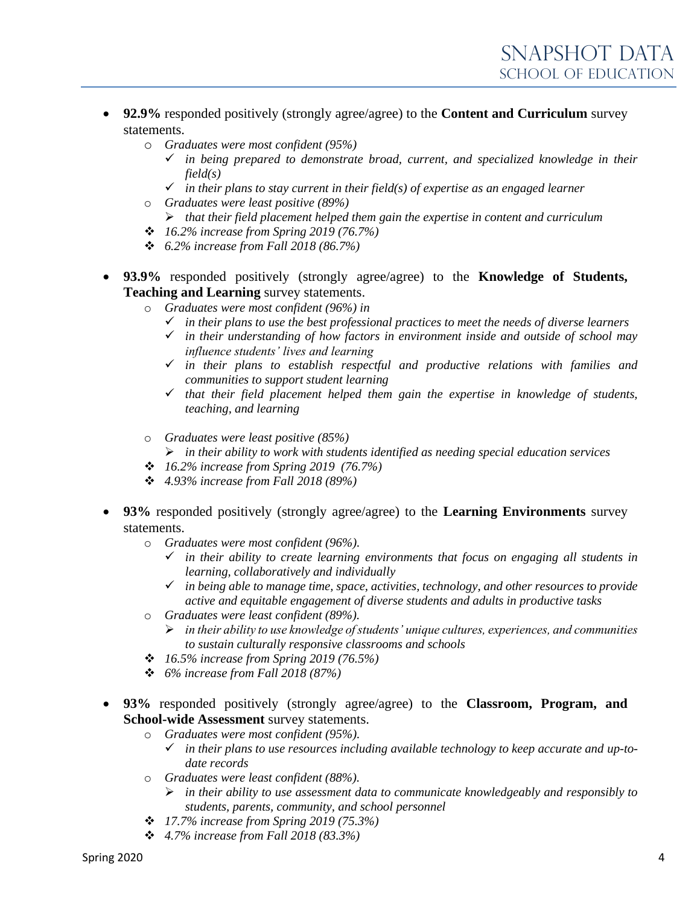- **92.9%** responded positively (strongly agree/agree) to the **Content and Curriculum** survey statements.
	- o *Graduates were most confident (95%)*
		- ✓ *in being prepared to demonstrate broad, current, and specialized knowledge in their field(s)*
		- ✓ *in their plans to stay current in their field(s) of expertise as an engaged learner*
	- o *Graduates were least positive (89%)*
		- ➢ *that their field placement helped them gain the expertise in content and curriculum*
	- ❖ *16.2% increase from Spring 2019 (76.7%)*
	- ❖ *6.2% increase from Fall 2018 (86.7%)*
- **93.9%** responded positively (strongly agree/agree) to the **Knowledge of Students, Teaching and Learning** survey statements.
	- o *Graduates were most confident (96%) in*
		- ✓ *in their plans to use the best professional practices to meet the needs of diverse learners*
		- ✓ *in their understanding of how factors in environment inside and outside of school may influence students' lives and learning*
		- ✓ *in their plans to establish respectful and productive relations with families and communities to support student learning*
		- ✓ *that their field placement helped them gain the expertise in knowledge of students, teaching, and learning*
	- o *Graduates were least positive (85%)*
		- ➢ *in their ability to work with students identified as needing special education services*
	- ❖ *16.2% increase from Spring 2019 (76.7%)*
	- ❖ *4.93% increase from Fall 2018 (89%)*
- **93%** responded positively (strongly agree/agree) to the **Learning Environments** survey statements.
	- o *Graduates were most confident (96%).*
		- ✓ *in their ability to create learning environments that focus on engaging all students in learning, collaboratively and individually*
		- ✓ *in being able to manage time, space, activities, technology, and other resources to provide active and equitable engagement of diverse students and adults in productive tasks*
	- o *Graduates were least confident (89%).*
		- ➢ *in their ability to use knowledge of students' unique cultures, experiences, and communities to sustain culturally responsive classrooms and schools*
	- ❖ *16.5% increase from Spring 2019 (76.5%)*
	- ❖ *6% increase from Fall 2018 (87%)*
- **93%** responded positively (strongly agree/agree) to the **Classroom, Program, and School-wide Assessment** survey statements.
	- o *Graduates were most confident (95%).*
		- ✓ *in their plans to use resources including available technology to keep accurate and up-todate records*
	- o *Graduates were least confident (88%).*
		- ➢ *in their ability to use assessment data to communicate knowledgeably and responsibly to students, parents, community, and school personnel*
	- ❖ *17.7% increase from Spring 2019 (75.3%)*
	- ❖ *4.7% increase from Fall 2018 (83.3%)*